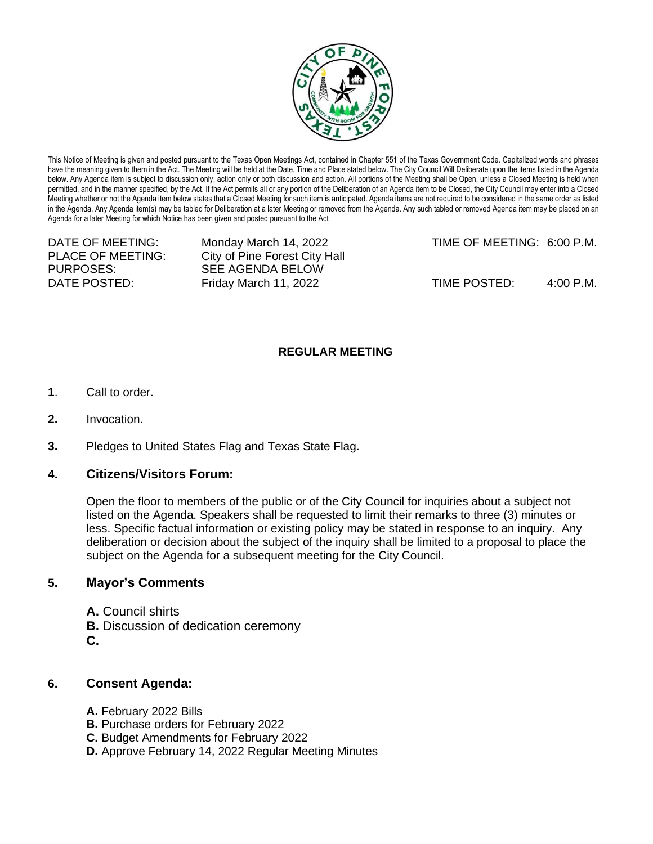

This Notice of Meeting is given and posted pursuant to the Texas Open Meetings Act, contained in Chapter 551 of the Texas Government Code. Capitalized words and phrases have the meaning given to them in the Act. The Meeting will be held at the Date, Time and Place stated below. The City Council Will Deliberate upon the items listed in the Agenda below. Any Agenda item is subject to discussion only, action only or both discussion and action. All portions of the Meeting shall be Open, unless a Closed Meeting is held when permitted, and in the manner specified, by the Act. If the Act permits all or any portion of the Deliberation of an Agenda item to be Closed, the City Council may enter into a Closed Meeting whether or not the Agenda item below states that a Closed Meeting for such item is anticipated. Agenda items are not required to be considered in the same order as listed in the Agenda. Any Agenda item(s) may be tabled for Deliberation at a later Meeting or removed from the Agenda. Any such tabled or removed Agenda item may be placed on an Agenda for a later Meeting for which Notice has been given and posted pursuant to the Act

PLACE OF MEETING: City of Pine Forest City Hall PURPOSES: SEE AGENDA BELOW

DATE OF MEETING: Monday March 14, 2022 TIME OF MEETING: 6:00 P.M.

DATE POSTED: Friday March 11, 2022 TIME POSTED: 4:00 P.M.

## **REGULAR MEETING**

- **1**. Call to order.
- **2.** Invocation.
- **3.** Pledges to United States Flag and Texas State Flag.

## **4. Citizens/Visitors Forum:**

Open the floor to members of the public or of the City Council for inquiries about a subject not listed on the Agenda. Speakers shall be requested to limit their remarks to three (3) minutes or less. Specific factual information or existing policy may be stated in response to an inquiry. Any deliberation or decision about the subject of the inquiry shall be limited to a proposal to place the subject on the Agenda for a subsequent meeting for the City Council.

## **5. Mayor's Comments**

**A.** Council shirts **B.** Discussion of dedication ceremony **C.**

## **6. Consent Agenda:**

- **A.** February 2022 Bills
- **B.** Purchase orders for February 2022
- **C.** Budget Amendments for February 2022
- **D.** Approve February 14, 2022 Regular Meeting Minutes